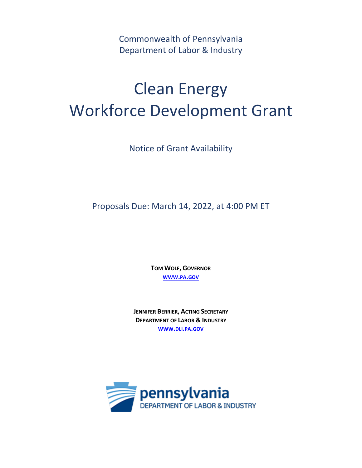Commonwealth of Pennsylvania Department of Labor & Industry

# Clean Energy Workforce Development Grant

Notice of Grant Availability

Proposals Due: March 14, 2022, at 4:00 PM ET

**TOM WOLF, GOVERNOR [WWW](http://www.pa.gov/).PA.GOV**

**JENNIFER BERRIER, ACTING SECRETARY DEPARTMENT OF LABOR & INDUSTRY [WWW](http://www.dli.pa.gov/).DLI.PA.GOV**

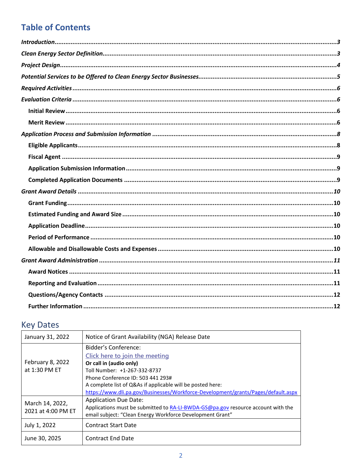# **Table of Contents**

# **Key Dates**

| January 31, 2022   | Notice of Grant Availability (NGA) Release Date                                   |
|--------------------|-----------------------------------------------------------------------------------|
|                    | Bidder's Conference:                                                              |
|                    | Click here to join the meeting                                                    |
| February 8, 2022   | Or call in (audio only)                                                           |
| at 1:30 PM ET      | Toll Number: +1-267-332-8737                                                      |
|                    | Phone Conference ID: 503 441 293#                                                 |
|                    | A complete list of Q&As if applicable will be posted here:                        |
|                    | https://www.dli.pa.gov/Businesses/Workforce-Development/grants/Pages/default.aspx |
| March 14, 2022,    | <b>Application Due Date:</b>                                                      |
| 2021 at 4:00 PM ET | Applications must be submitted to RA-LI-BWDA-GS@pa.gov resource account with the  |
|                    | email subject: "Clean Energy Workforce Development Grant"                         |
| July 1, 2022       | <b>Contract Start Date</b>                                                        |
| June 30, 2025      | <b>Contract End Date</b>                                                          |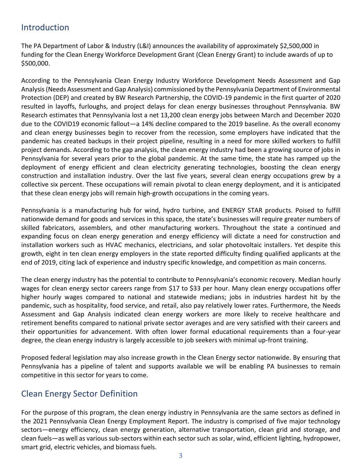## <span id="page-2-0"></span>Introduction

The PA Department of Labor & Industry (L&I) announces the availability of approximately \$2,500,000 in funding for the Clean Energy Workforce Development Grant (Clean Energy Grant) to include awards of up to \$500,000.

According to the Pennsylvania Clean Energy Industry Workforce Development Needs Assessment and Gap Analysis(Needs Assessment and Gap Analysis) commissioned by the Pennsylvania Department of Environmental Protection (DEP) and created by BW Research Partnership, the COVID-19 pandemic in the first quarter of 2020 resulted in layoffs, furloughs, and project delays for clean energy businesses throughout Pennsylvania. BW Research estimates that Pennsylvania lost a net 13,200 clean energy jobs between March and December 2020 due to the COVID19 economic fallout—a 14% decline compared to the 2019 baseline. As the overall economy and clean energy businesses begin to recover from the recession, some employers have indicated that the pandemic has created backups in their project pipeline, resulting in a need for more skilled workers to fulfill project demands. According to the gap analysis, the clean energy industry had been a growing source of jobs in Pennsylvania for several years prior to the global pandemic. At the same time, the state has ramped up the deployment of energy efficient and clean electricity generating technologies, boosting the clean energy construction and installation industry. Over the last five years, several clean energy occupations grew by a collective six percent. These occupations will remain pivotal to clean energy deployment, and it is anticipated that these clean energy jobs will remain high-growth occupations in the coming years.

Pennsylvania is a manufacturing hub for wind, hydro turbine, and ENERGY STAR products. Poised to fulfill nationwide demand for goods and services in this space, the state's businesses will require greater numbers of skilled fabricators, assemblers, and other manufacturing workers. Throughout the state a continued and expanding focus on clean energy generation and energy efficiency will dictate a need for construction and installation workers such as HVAC mechanics, electricians, and solar photovoltaic installers. Yet despite this growth, eight in ten clean energy employers in the state reported difficulty finding qualified applicants at the end of 2019, citing lack of experience and industry specific knowledge, and competition as main concerns.

The clean energy industry has the potential to contribute to Pennsylvania's economic recovery. Median hourly wages for clean energy sector careers range from \$17 to \$33 per hour. Many clean energy occupations offer higher hourly wages compared to national and statewide medians; jobs in industries hardest hit by the pandemic, such as hospitality, food service, and retail, also pay relatively lower rates. Furthermore, the Needs Assessment and Gap Analysis indicated clean energy workers are more likely to receive healthcare and retirement benefits compared to national private sector averages and are very satisfied with their careers and their opportunities for advancement. With often lower formal educational requirements than a four-year degree, the clean energy industry is largely accessible to job seekers with minimal up-front training.

Proposed federal legislation may also increase growth in the Clean Energy sector nationwide. By ensuring that Pennsylvania has a pipeline of talent and supports available we will be enabling PA businesses to remain competitive in this sector for years to come.

# <span id="page-2-1"></span>Clean Energy Sector Definition

For the purpose of this program, the clean energy industry in Pennsylvania are the same sectors as defined in the 2021 Pennsylvania Clean Energy Employment Report. The industry is comprised of five major technology sectors—energy efficiency, clean energy generation, alternative transportation, clean grid and storage, and clean fuels—as well as various sub-sectors within each sector such as solar, wind, efficient lighting, hydropower, smart grid, electric vehicles, and biomass fuels.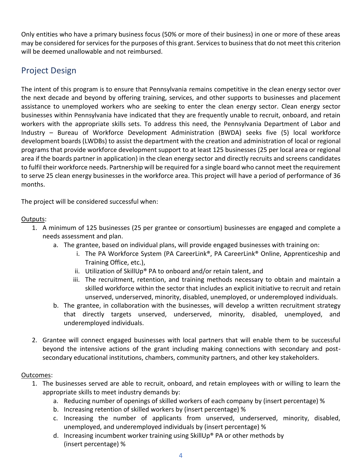Only entities who have a primary business focus (50% or more of their business) in one or more of these areas may be considered for services for the purposes of this grant. Services to business that do not meet this criterion will be deemed unallowable and not reimbursed.

# <span id="page-3-0"></span>Project Design

The intent of this program is to ensure that Pennsylvania remains competitive in the clean energy sector over the next decade and beyond by offering training, services, and other supports to businesses and placement assistance to unemployed workers who are seeking to enter the clean energy sector. Clean energy sector businesses within Pennsylvania have indicated that they are frequently unable to recruit, onboard, and retain workers with the appropriate skills sets. To address this need, the Pennsylvania Department of Labor and Industry – Bureau of Workforce Development Administration (BWDA) seeks five (5) local workforce development boards (LWDBs) to assist the department with the creation and administration of local or regional programs that provide workforce development support to at least 125 businesses (25 per local area or regional area if the boards partner in application) in the clean energy sector and directly recruits and screens candidates to fulfil their workforce needs. Partnership will be required for a single board who cannot meet the requirement to serve 25 clean energy businesses in the workforce area. This project will have a period of performance of 36 months.

The project will be considered successful when:

#### Outputs:

- 1. A minimum of 125 businesses (25 per grantee or consortium) businesses are engaged and complete a needs assessment and plan.
	- a. The grantee, based on individual plans, will provide engaged businesses with training on:
		- i. The PA Workforce System (PA CareerLink®, PA CareerLink® Online, Apprenticeship and Training Office, etc.),
		- ii. Utilization of SkillUp® PA to onboard and/or retain talent, and
		- iii. The recruitment, retention, and training methods necessary to obtain and maintain a skilled workforce within the sector that includes an explicit initiative to recruit and retain unserved, underserved, minority, disabled, unemployed, or underemployed individuals.
	- b. The grantee, in collaboration with the businesses, will develop a written recruitment strategy that directly targets unserved, underserved, minority, disabled, unemployed, and underemployed individuals.
- 2. Grantee will connect engaged businesses with local partners that will enable them to be successful beyond the intensive actions of the grant including making connections with secondary and postsecondary educational institutions, chambers, community partners, and other key stakeholders.

#### Outcomes:

- 1. The businesses served are able to recruit, onboard, and retain employees with or willing to learn the appropriate skills to meet industry demands by:
	- a. Reducing number of openings of skilled workers of each company by (insert percentage) %
	- b. Increasing retention of skilled workers by (insert percentage) %
	- c. Increasing the number of applicants from unserved, underserved, minority, disabled, unemployed, and underemployed individuals by (insert percentage) %
	- d. Increasing incumbent worker training using SkillUp® PA or other methods by (insert percentage) %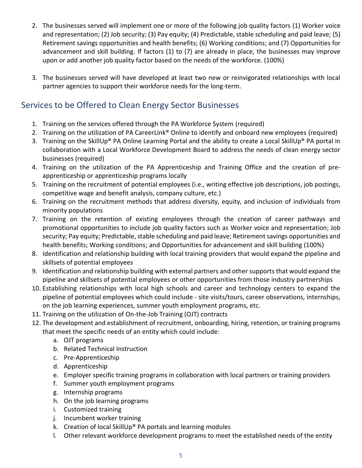- 2. The businesses served will implement one or more of the following job quality factors (1) Worker voice and representation; (2) Job security; (3) Pay equity; (4) Predictable, stable scheduling and paid leave; (5) Retirement savings opportunities and health benefits; (6) Working conditions; and (7) Opportunities for advancement and skill building. If factors (1) to (7) are already in place, the businesses may improve upon or add another job quality factor based on the needs of the workforce. (100%)
- 3. The businesses served will have developed at least two new or reinvigorated relationships with local partner agencies to support their workforce needs for the long-term.

# <span id="page-4-0"></span>Services to be Offered to Clean Energy Sector Businesses

- 1. Training on the services offered through the PA Workforce System (required)
- 2. Training on the utilization of PA CareerLink<sup>®</sup> Online to identify and onboard new employees (required)
- 3. Training on the SkillUp® PA Online Learning Portal and the ability to create a Local SkillUp® PA portal in collaboration with a Local Workforce Development Board to address the needs of clean energy sector businesses (required)
- 4. Training on the utilization of the PA Apprenticeship and Training Office and the creation of preapprenticeship or apprenticeship programs locally
- 5. Training on the recruitment of potential employees (i.e., writing effective job descriptions, job postings, competitive wage and benefit analysis, company culture, etc.)
- 6. Training on the recruitment methods that address diversity, equity, and inclusion of individuals from minority populations
- 7. Training on the retention of existing employees through the creation of career pathways and promotional opportunities to include job quality factors such as Worker voice and representation; Job security; Pay equity; Predictable, stable scheduling and paid leave; Retirement savings opportunities and health benefits; Working conditions; and Opportunities for advancement and skill building (100%)
- 8. Identification and relationship building with local training providers that would expand the pipeline and skillsets of potential employees
- 9. Identification and relationship building with external partners and other supports that would expand the pipeline and skillsets of potential employees or other opportunities from those industry partnerships
- 10. Establishing relationships with local high schools and career and technology centers to expand the pipeline of potential employees which could include - site visits/tours, career observations, internships, on the job learning experiences, summer youth employment programs, etc.
- 11. Training on the utilization of On-the-Job Training (OJT) contracts
- 12. The development and establishment of recruitment, onboarding, hiring, retention, or training programs that meet the specific needs of an entity which could include:
	- a. OJT programs
	- b. Related Technical Instruction
	- c. Pre-Apprenticeship
	- d. Apprenticeship
	- e. Employer specific training programs in collaboration with local partners or training providers
	- f. Summer youth employment programs
	- g. Internship programs
	- h. On the job learning programs
	- i. Customized training
	- j. Incumbent worker training
	- k. Creation of local SkillUp® PA portals and learning modules
	- l. Other relevant workforce development programs to meet the established needs of the entity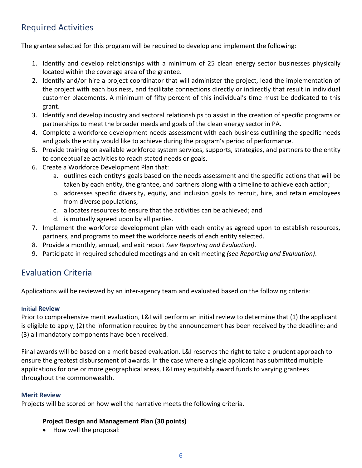# <span id="page-5-0"></span>Required Activities

The grantee selected for this program will be required to develop and implement the following:

- 1. Identify and develop relationships with a minimum of 25 clean energy sector businesses physically located within the coverage area of the grantee.
- 2. Identify and/or hire a project coordinator that will administer the project, lead the implementation of the project with each business, and facilitate connections directly or indirectly that result in individual customer placements. A minimum of fifty percent of this individual's time must be dedicated to this grant.
- 3. Identify and develop industry and sectoral relationships to assist in the creation of specific programs or partnerships to meet the broader needs and goals of the clean energy sector in PA.
- 4. Complete a workforce development needs assessment with each business outlining the specific needs and goals the entity would like to achieve during the program's period of performance.
- 5. Provide training on available workforce system services, supports, strategies, and partners to the entity to conceptualize activities to reach stated needs or goals.
- 6. Create a Workforce Development Plan that:
	- a. outlines each entity's goals based on the needs assessment and the specific actions that will be taken by each entity, the grantee, and partners along with a timeline to achieve each action;
	- b. addresses specific diversity, equity, and inclusion goals to recruit, hire, and retain employees from diverse populations;
	- c. allocates resources to ensure that the activities can be achieved; and
	- d. is mutually agreed upon by all parties.
- 7. Implement the workforce development plan with each entity as agreed upon to establish resources, partners, and programs to meet the workforce needs of each entity selected.
- 8. Provide a monthly, annual, and exit report *(see Reporting and Evaluation)*.
- 9. Participate in required scheduled meetings and an exit meeting *(see Reporting and Evaluation)*.

# <span id="page-5-1"></span>Evaluation Criteria

Applications will be reviewed by an inter-agency team and evaluated based on the following criteria:

#### <span id="page-5-2"></span>**Initial Review**

Prior to comprehensive merit evaluation, L&I will perform an initial review to determine that (1) the applicant is eligible to apply; (2) the information required by the announcement has been received by the deadline; and (3) all mandatory components have been received.

Final awards will be based on a merit based evaluation. L&I reserves the right to take a prudent approach to ensure the greatest disbursement of awards. In the case where a single applicant has submitted multiple applications for one or more geographical areas, L&I may equitably award funds to varying grantees throughout the commonwealth.

#### <span id="page-5-3"></span>**Merit Review**

Projects will be scored on how well the narrative meets the following criteria.

#### **Project Design and Management Plan (30 points)**

• How well the proposal: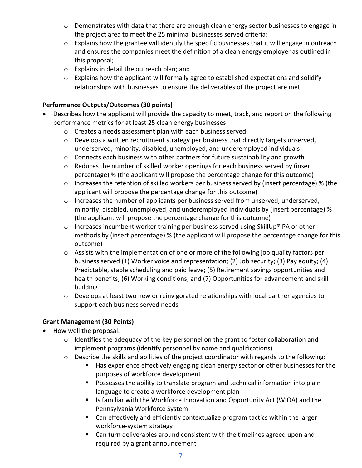- o Demonstrates with data that there are enough clean energy sector businesses to engage in the project area to meet the 25 minimal businesses served criteria;
- o Explains how the grantee will identify the specific businesses that it will engage in outreach and ensures the companies meet the definition of a clean energy employer as outlined in this proposal;
- o Explains in detail the outreach plan; and
- o Explains how the applicant will formally agree to established expectations and solidify relationships with businesses to ensure the deliverables of the project are met

#### **Performance Outputs/Outcomes (30 points)**

- Describes how the applicant will provide the capacity to meet, track, and report on the following performance metrics for at least 25 clean energy businesses:
	- o Creates a needs assessment plan with each business served
	- $\circ$  Develops a written recruitment strategy per business that directly targets unserved, underserved, minority, disabled, unemployed, and underemployed individuals
	- o Connects each business with other partners for future sustainability and growth
	- $\circ$  Reduces the number of skilled worker openings for each business served by (insert percentage) % (the applicant will propose the percentage change for this outcome)
	- $\circ$  Increases the retention of skilled workers per business served by (insert percentage) % (the applicant will propose the percentage change for this outcome)
	- $\circ$  Increases the number of applicants per business served from unserved, underserved, minority, disabled, unemployed, and underemployed individuals by (insert percentage) % (the applicant will propose the percentage change for this outcome)
	- $\circ$  Increases incumbent worker training per business served using SkillUp® PA or other methods by (insert percentage) % (the applicant will propose the percentage change for this outcome)
	- $\circ$  Assists with the implementation of one or more of the following job quality factors per business served (1) Worker voice and representation; (2) Job security; (3) Pay equity; (4) Predictable, stable scheduling and paid leave; (5) Retirement savings opportunities and health benefits; (6) Working conditions; and (7) Opportunities for advancement and skill building
	- $\circ$  Develops at least two new or reinvigorated relationships with local partner agencies to support each business served needs

#### **Grant Management (30 Points)**

- How well the proposal:
	- o Identifies the adequacy of the key personnel on the grant to foster collaboration and implement programs (identify personnel by name and qualifications)
	- o Describe the skills and abilities of the project coordinator with regards to the following:
		- Has experience effectively engaging clean energy sector or other businesses for the purposes of workforce development
		- Possesses the ability to translate program and technical information into plain language to create a workforce development plan
		- Is familiar with the Workforce Innovation and Opportunity Act (WIOA) and the Pennsylvania Workforce System
		- Can effectively and efficiently contextualize program tactics within the larger workforce-system strategy
		- Can turn deliverables around consistent with the timelines agreed upon and required by a grant announcement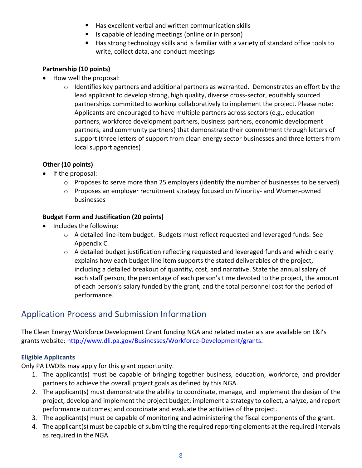- Has excellent verbal and written communication skills
- Is capable of leading meetings (online or in person)
- Has strong technology skills and is familiar with a variety of standard office tools to write, collect data, and conduct meetings

#### **Partnership (10 points)**

- How well the proposal:
	- $\circ$  Identifies key partners and additional partners as warranted. Demonstrates an effort by the lead applicant to develop strong, high quality, diverse cross-sector, equitably sourced partnerships committed to working collaboratively to implement the project. Please note: Applicants are encouraged to have multiple partners across sectors (e.g., education partners, workforce development partners, business partners, economic development partners, and community partners) that demonstrate their commitment through letters of support (three letters of support from clean energy sector businesses and three letters from local support agencies)

#### **Other (10 points)**

- If the proposal:
	- $\circ$  Proposes to serve more than 25 employers (identify the number of businesses to be served)
	- o Proposes an employer recruitment strategy focused on Minority- and Women-owned businesses

#### **Budget Form and Justification (20 points)**

- Includes the following:
	- $\circ$  A detailed line-item budget. Budgets must reflect requested and leveraged funds. See Appendix C.
	- $\circ$  A detailed budget justification reflecting requested and leveraged funds and which clearly explains how each budget line item supports the stated deliverables of the project, including a detailed breakout of quantity, cost, and narrative. State the annual salary of each staff person, the percentage of each person's time devoted to the project, the amount of each person's salary funded by the grant, and the total personnel cost for the period of performance.

# <span id="page-7-0"></span>Application Process and Submission Information

The Clean Energy Workforce Development Grant funding NGA and related materials are available on L&I's grants website: [http://www.dli.pa.gov/Businesses/Workforce-Development/grants.](http://www.dli.pa.gov/Businesses/Workforce-Development/grants)

#### <span id="page-7-1"></span>**Eligible Applicants**

Only PA LWDBs may apply for this grant opportunity.

- 1. The applicant(s) must be capable of bringing together business, education, workforce, and provider partners to achieve the overall project goals as defined by this NGA.
- 2. The applicant(s) must demonstrate the ability to coordinate, manage, and implement the design of the project; develop and implement the project budget; implement a strategy to collect, analyze, and report performance outcomes; and coordinate and evaluate the activities of the project.
- 3. The applicant(s) must be capable of monitoring and administering the fiscal components of the grant.
- 4. The applicant(s) must be capable of submitting the required reporting elements at the required intervals as required in the NGA.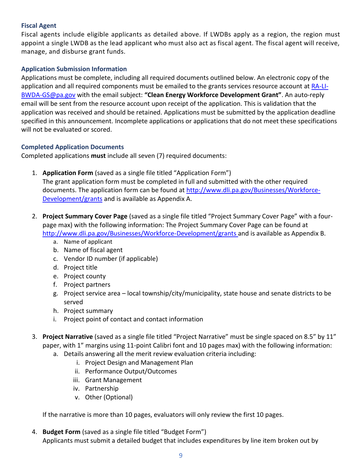#### <span id="page-8-0"></span>**Fiscal Agent**

Fiscal agents include eligible applicants as detailed above. If LWDBs apply as a region, the region must appoint a single LWDB as the lead applicant who must also act as fiscal agent. The fiscal agent will receive, manage, and disburse grant funds.

#### <span id="page-8-1"></span>**Application Submission Information**

Applications must be complete, including all required documents outlined below. An electronic copy of the application and all required components must be emailed to the grants services resource account a[t RA-LI-](mailto:RA-LI-BWDA-GS@pa.gov)[BWDA-GS@pa.gov](mailto:RA-LI-BWDA-GS@pa.gov) with the email subject: **"Clean Energy Workforce Development Grant"**. An auto-reply email will be sent from the resource account upon receipt of the application. This is validation that the application was received and should be retained. Applications must be submitted by the application deadline specified in this announcement. Incomplete applications or applications that do not meet these specifications will not be evaluated or scored.

#### <span id="page-8-2"></span>**Completed Application Documents**

Completed applications **must** include all seven (7) required documents:

1. **Application Form** (saved as a single file titled "Application Form")

The grant application form must be completed in full and submitted with the other required documents. The application form can be found at [http://www.dli.pa.gov/Businesses/Workforce-](http://www.dli.pa.gov/Businesses/Workforce-Development/grants)[Development/grants](http://www.dli.pa.gov/Businesses/Workforce-Development/grants) and is available as Appendix A.

- 2. **Project Summary Cover Page** (saved as a single file titled "Project Summary Cover Page" with a fourpage max) with the following information: The Project Summary Cover Page can be found at <http://www.dli.pa.gov/Businesses/Workforce-Development/grants> and is available as Appendix B.
	- a. Name of applicant
	- b. Name of fiscal agent
	- c. Vendor ID number (if applicable)
	- d. Project title
	- e. Project county
	- f. Project partners
	- g. Project service area local township/city/municipality, state house and senate districts to be served
	- h. Project summary
	- i. Project point of contact and contact information
- 3. **Project Narrative** (saved as a single file titled "Project Narrative" must be single spaced on 8.5" by 11" paper, with 1" margins using 11-point Calibri font and 10 pages max) with the following information:
	- a. Details answering all the merit review evaluation criteria including:
		- i. Project Design and Management Plan
		- ii. Performance Output/Outcomes
		- iii. Grant Management
		- iv. Partnership
		- v. Other (Optional)

If the narrative is more than 10 pages, evaluators will only review the first 10 pages.

4. **Budget Form** (saved as a single file titled "Budget Form") Applicants must submit a detailed budget that includes expenditures by line item broken out by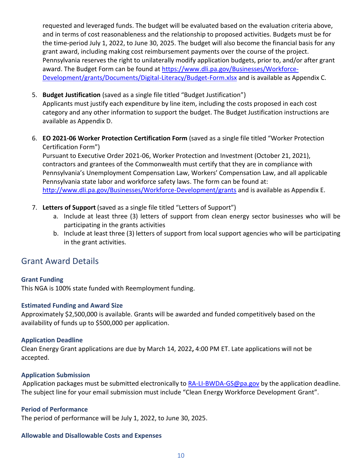requested and leveraged funds. The budget will be evaluated based on the evaluation criteria above, and in terms of cost reasonableness and the relationship to proposed activities. Budgets must be for the time-period July 1, 2022, to June 30, 2025. The budget will also become the financial basis for any grant award, including making cost reimbursement payments over the course of the project. Pennsylvania reserves the right to unilaterally modify application budgets, prior to, and/or after grant award. The Budget Form can be found at [https://www.dli.pa.gov/Businesses/Workforce-](https://www.dli.pa.gov/Businesses/Workforce-Development/grants/Documents/Digital-Literacy/Budget-Form.xlsx)[Development/grants/Documents/Digital-Literacy/Budget-Form.xlsx](https://www.dli.pa.gov/Businesses/Workforce-Development/grants/Documents/Digital-Literacy/Budget-Form.xlsx) and is available as Appendix C.

- 5. **Budget Justification** (saved as a single file titled "Budget Justification") Applicants must justify each expenditure by line item, including the costs proposed in each cost category and any other information to support the budget. The Budget Justification instructions are available as Appendix D.
- 6. **EO 2021-06 Worker Protection Certification Form** (saved as a single file titled "Worker Protection Certification Form")

Pursuant to Executive Order 2021-06, Worker Protection and Investment (October 21, 2021), contractors and grantees of the Commonwealth must certify that they are in compliance with Pennsylvania's Unemployment Compensation Law, Workers' Compensation Law, and all applicable Pennsylvania state labor and workforce safety laws. The form can be found at: <http://www.dli.pa.gov/Businesses/Workforce-Development/grants> and is available as Appendix E.

- 7. **Letters of Support** (saved as a single file titled "Letters of Support")
	- a. Include at least three (3) letters of support from clean energy sector businesses who will be participating in the grants activities
	- b. Include at least three (3) letters of support from local support agencies who will be participating in the grant activities.

### <span id="page-9-0"></span>Grant Award Details

#### <span id="page-9-1"></span>**Grant Funding**

This NGA is 100% state funded with Reemployment funding.

#### <span id="page-9-2"></span>**Estimated Funding and Award Size**

Approximately \$2,500,000 is available. Grants will be awarded and funded competitively based on the availability of funds up to \$500,000 per application.

#### <span id="page-9-3"></span>**Application Deadline**

Clean Energy Grant applications are due by March 14, 2022**,** 4:00 PM ET. Late applications will not be accepted.

#### **Application Submission**

Application packages must be submitted electronically to [RA-LI-BWDA-GS@pa.gov](mailto:RA-LI-BWDA-GS@pa.gov) by the application deadline. The subject line for your email submission must include "Clean Energy Workforce Development Grant".

#### <span id="page-9-4"></span>**Period of Performance**

The period of performance will be July 1, 2022, to June 30, 2025.

#### <span id="page-9-5"></span>**Allowable and Disallowable Costs and Expenses**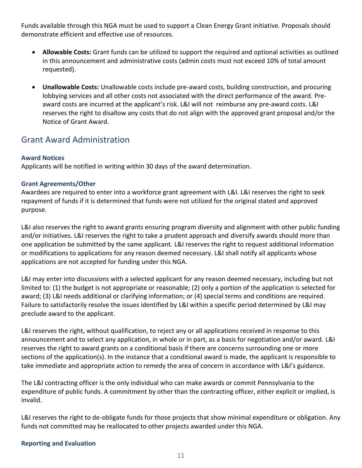Funds available through this NGA must be used to support a Clean Energy Grant initiative. Proposals should demonstrate efficient and effective use of resources.

- **Allowable Costs:** Grant funds can be utilized to support the required and optional activities as outlined in this announcement and administrative costs (admin costs must not exceed 10% of total amount requested).
- **Unallowable Costs:** Unallowable costs include pre-award costs, building construction, and procuring lobbying services and all other costs not associated with the direct performance of the award. Preaward costs are incurred at the applicant's risk. L&I will not reimburse any pre-award costs. L&I reserves the right to disallow any costs that do not align with the approved grant proposal and/or the Notice of Grant Award.

### <span id="page-10-0"></span>Grant Award Administration

#### <span id="page-10-1"></span>**Award Notices**

Applicants will be notified in writing within 30 days of the award determination.

#### **Grant Agreements/Other**

Awardees are required to enter into a workforce grant agreement with L&I. L&I reserves the right to seek repayment of funds if it is determined that funds were not utilized for the original stated and approved purpose.

L&I also reserves the right to award grants ensuring program diversity and alignment with other public funding and/or initiatives. L&I reserves the right to take a prudent approach and diversify awards should more than one application be submitted by the same applicant. L&I reserves the right to request additional information or modifications to applications for any reason deemed necessary. L&I shall notify all applicants whose applications are not accepted for funding under this NGA.

L&I may enter into discussions with a selected applicant for any reason deemed necessary, including but not limited to: (1) the budget is not appropriate or reasonable; (2) only a portion of the application is selected for award; (3) L&I needs additional or clarifying information; or (4) special terms and conditions are required. Failure to satisfactorily resolve the issues identified by L&I within a specific period determined by L&I may preclude award to the applicant.

L&I reserves the right, without qualification, to reject any or all applications received in response to this announcement and to select any application, in whole or in part, as a basis for negotiation and/or award. L&I reserves the right to award grants on a conditional basis if there are concerns surrounding one or more sections of the application(s). In the instance that a conditional award is made, the applicant is responsible to take immediate and appropriate action to remedy the area of concern in accordance with L&I's guidance.

The L&I contracting officer is the only individual who can make awards or commit Pennsylvania to the expenditure of public funds. A commitment by other than the contracting officer, either explicit or implied, is invalid.

L&I reserves the right to de-obligate funds for those projects that show minimal expenditure or obligation. Any funds not committed may be reallocated to other projects awarded under this NGA.

#### <span id="page-10-2"></span>**Reporting and Evaluation**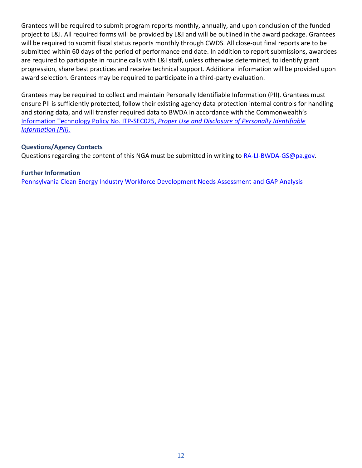Grantees will be required to submit program reports monthly, annually, and upon conclusion of the funded project to L&I. All required forms will be provided by L&I and will be outlined in the award package. Grantees will be required to submit fiscal status reports monthly through CWDS. All close-out final reports are to be submitted within 60 days of the period of performance end date. In addition to report submissions, awardees are required to participate in routine calls with L&I staff, unless otherwise determined, to identify grant progression, share best practices and receive technical support. Additional information will be provided upon award selection. Grantees may be required to participate in a third-party evaluation.

Grantees may be required to collect and maintain Personally Identifiable Information (PII). Grantees must ensure PII is sufficiently protected, follow their existing agency data protection internal controls for handling and storing data, and will transfer required data to BWDA in accordance with the Commonwealth's Information Technology Policy No. ITP-SEC025, *[Proper Use and Disclosure of Personally Identifiable](https://www.oa.pa.gov/Policies/Documents/itp_sec025.pdf)  [Information \(PII\).](https://www.oa.pa.gov/Policies/Documents/itp_sec025.pdf)*

#### <span id="page-11-0"></span>**Questions/Agency Contacts**

Questions regarding the content of this NGA must be submitted in writing to [RA-LI-BWDA-GS@pa.gov.](mailto:RA-LI-BWDA-GS@pa.gov)

#### <span id="page-11-1"></span>**Further Information**

[Pennsylvania Clean Energy Industry Workforce Development Needs Assessment](https://files.dep.state.pa.us/Energy/Office%20of%20Energy%20and%20Technology/OETDPortalFiles/2021CleanEnergyGapAnalysis/PA_2021_Clean_Energy_Gap_Analysis_Report.pdf) and GAP Analysis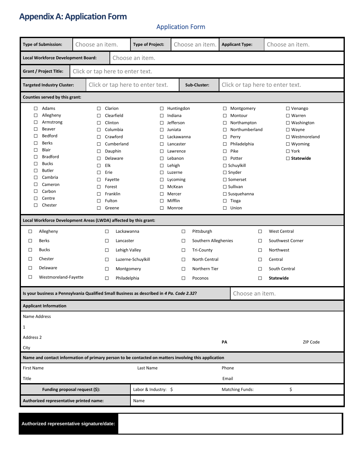# **Appendix A: Application Form**

### Application Form

| <b>Type of Submission:</b>                                                                                                                                                                                                                                                                 | Choose an item.                                                                                            |                                                                                                                                                                                                                                                                                                                                                                                                                                                    | <b>Type of Project:</b> | Choose an item.                  |                                                                               | <b>Applicant Type:</b>                                                                                                                                                                                                                                                                                                                                                    |    |                 | Choose an item.                 |                                                                               |
|--------------------------------------------------------------------------------------------------------------------------------------------------------------------------------------------------------------------------------------------------------------------------------------------|------------------------------------------------------------------------------------------------------------|----------------------------------------------------------------------------------------------------------------------------------------------------------------------------------------------------------------------------------------------------------------------------------------------------------------------------------------------------------------------------------------------------------------------------------------------------|-------------------------|----------------------------------|-------------------------------------------------------------------------------|---------------------------------------------------------------------------------------------------------------------------------------------------------------------------------------------------------------------------------------------------------------------------------------------------------------------------------------------------------------------------|----|-----------------|---------------------------------|-------------------------------------------------------------------------------|
| Choose an item.<br><b>Local Workforce Development Board:</b>                                                                                                                                                                                                                               |                                                                                                            |                                                                                                                                                                                                                                                                                                                                                                                                                                                    |                         |                                  |                                                                               |                                                                                                                                                                                                                                                                                                                                                                           |    |                 |                                 |                                                                               |
| <b>Grant / Project Title:</b><br>Click or tap here to enter text.                                                                                                                                                                                                                          |                                                                                                            |                                                                                                                                                                                                                                                                                                                                                                                                                                                    |                         |                                  |                                                                               |                                                                                                                                                                                                                                                                                                                                                                           |    |                 |                                 |                                                                               |
| Click or tap here to enter text.<br><b>Targeted Industry Cluster:</b><br>Sub-Cluster:                                                                                                                                                                                                      |                                                                                                            |                                                                                                                                                                                                                                                                                                                                                                                                                                                    |                         | Click or tap here to enter text. |                                                                               |                                                                                                                                                                                                                                                                                                                                                                           |    |                 |                                 |                                                                               |
| Counties served by this grant:                                                                                                                                                                                                                                                             |                                                                                                            |                                                                                                                                                                                                                                                                                                                                                                                                                                                    |                         |                                  |                                                                               |                                                                                                                                                                                                                                                                                                                                                                           |    |                 |                                 |                                                                               |
| Adams<br>$\Box$<br>$\Box$<br>Allegheny<br>$\Box$<br>Armstrong<br>$\Box$<br>Beaver<br>Bedford<br>□<br><b>Berks</b><br>□<br>Blair<br>□<br><b>Bradford</b><br>□<br><b>Bucks</b><br>□<br><b>Butler</b><br>□<br>Cambria<br>□<br>□<br>Cameron<br>□<br>Carbon<br>$\Box$<br>Centre<br>□<br>Chester | $\Box$<br>□<br>$\Box$<br>□<br>□<br>□<br>$\Box$<br>□<br>□<br>□<br>$\Box$<br>$\Box$<br>□<br>□<br>□<br>Greene | Clarion<br>Huntingdon<br>□<br>Clearfield<br>Indiana<br>$\Box$<br>Jefferson<br>Clinton<br>$\Box$<br>Columbia<br>Juniata<br>$\Box$<br>Crawford<br>Lackawanna<br>$\Box$<br>Cumberland<br>Lancaster<br>$\Box$<br>Dauphin<br>$\Box$<br>Lawrence<br>Delaware<br>Lebanon<br>$\Box$<br>Elk<br>Lehigh<br>$\Box$<br>Erie<br>□<br>Luzerne<br>Fayette<br>Lycoming<br>$\Box$<br>Forest<br>McKean<br>□<br>Franklin<br>$\Box$<br>Mercer<br>Mifflin<br>Fulton<br>□ |                         |                                  | $\Box$<br>□<br>□<br>□<br>$\Box$<br>$\Box$<br>$\Box$<br>$\Box$<br>$\Box$ Union | □ Venango<br>Montgomery<br>$\square$ Warren<br>Montour<br>Northampton<br>$\Box$ Washington<br>Northumberland<br>$\square$ Wayne<br>□ Westmoreland<br>Perry<br>Philadelphia<br>$\Box$ Wyoming<br>Pike<br>$\Box$ York<br>Potter<br>$\Box$ Statewide<br>$\Box$ Schuylkill<br>$\Box$ Snyder<br>$\Box$ Somerset<br>$\square$ Sullivan<br>$\square$ Susquehanna<br>$\Box$ Tioga |    |                 |                                 |                                                                               |
| Local Workforce Development Areas (LWDA) affected by this grant:                                                                                                                                                                                                                           |                                                                                                            |                                                                                                                                                                                                                                                                                                                                                                                                                                                    | □                       | Monroe                           |                                                                               |                                                                                                                                                                                                                                                                                                                                                                           |    |                 |                                 |                                                                               |
| Allegheny<br>$\Box$                                                                                                                                                                                                                                                                        | $\Box$                                                                                                     | Lackawanna                                                                                                                                                                                                                                                                                                                                                                                                                                         |                         |                                  | □                                                                             | Pittsburgh                                                                                                                                                                                                                                                                                                                                                                |    |                 | $\Box$                          | <b>West Central</b>                                                           |
| <b>Berks</b><br>$\Box$<br>$\Box$<br><b>Bucks</b><br>Chester<br>$\Box$<br>$\Box$<br>Delaware<br>Westmoreland-Fayette<br>$\Box$                                                                                                                                                              | $\Box$<br>$\Box$<br>$\Box$<br>$\Box$<br>$\Box$                                                             | Lancaster<br>Lehigh Valley<br>Montgomery<br>Philadelphia                                                                                                                                                                                                                                                                                                                                                                                           | Luzerne-Schuylkill      |                                  | □<br>$\Box$<br>□<br>□<br>□                                                    | Southern Alleghenies<br><b>Tri-County</b><br>North Central<br>Northern Tier<br>Poconos                                                                                                                                                                                                                                                                                    |    |                 | □<br>$\Box$<br>$\Box$<br>□<br>□ | Southwest Corner<br>Northwest<br>Central<br>South Central<br><b>Statewide</b> |
| Is your business a Pennsylvania Qualified Small Business as described in 4 Pa. Code 2.32?                                                                                                                                                                                                  |                                                                                                            |                                                                                                                                                                                                                                                                                                                                                                                                                                                    |                         |                                  |                                                                               |                                                                                                                                                                                                                                                                                                                                                                           |    | Choose an item. |                                 |                                                                               |
| <b>Applicant Information</b>                                                                                                                                                                                                                                                               |                                                                                                            |                                                                                                                                                                                                                                                                                                                                                                                                                                                    |                         |                                  |                                                                               |                                                                                                                                                                                                                                                                                                                                                                           |    |                 |                                 |                                                                               |
| Name Address<br>1                                                                                                                                                                                                                                                                          |                                                                                                            |                                                                                                                                                                                                                                                                                                                                                                                                                                                    |                         |                                  |                                                                               |                                                                                                                                                                                                                                                                                                                                                                           |    |                 |                                 |                                                                               |
| Address 2                                                                                                                                                                                                                                                                                  |                                                                                                            |                                                                                                                                                                                                                                                                                                                                                                                                                                                    |                         |                                  |                                                                               |                                                                                                                                                                                                                                                                                                                                                                           | PΑ |                 |                                 | ZIP Code                                                                      |
| City<br>Name and contact information of primary person to be contacted on matters involving this application                                                                                                                                                                               |                                                                                                            |                                                                                                                                                                                                                                                                                                                                                                                                                                                    |                         |                                  |                                                                               |                                                                                                                                                                                                                                                                                                                                                                           |    |                 |                                 |                                                                               |
| <b>First Name</b>                                                                                                                                                                                                                                                                          | Last Name                                                                                                  |                                                                                                                                                                                                                                                                                                                                                                                                                                                    |                         |                                  | Phone                                                                         |                                                                                                                                                                                                                                                                                                                                                                           |    |                 |                                 |                                                                               |
|                                                                                                                                                                                                                                                                                            | Title<br>Email<br>Labor & Industry: \$<br><b>Matching Funds:</b><br>Funding proposal request (\$):         |                                                                                                                                                                                                                                                                                                                                                                                                                                                    |                         |                                  |                                                                               | \$                                                                                                                                                                                                                                                                                                                                                                        |    |                 |                                 |                                                                               |
| Authorized representative printed name:<br>Name                                                                                                                                                                                                                                            |                                                                                                            |                                                                                                                                                                                                                                                                                                                                                                                                                                                    |                         |                                  |                                                                               |                                                                                                                                                                                                                                                                                                                                                                           |    |                 |                                 |                                                                               |
|                                                                                                                                                                                                                                                                                            |                                                                                                            |                                                                                                                                                                                                                                                                                                                                                                                                                                                    |                         |                                  |                                                                               |                                                                                                                                                                                                                                                                                                                                                                           |    |                 |                                 |                                                                               |

**Authorized representative signature/date:**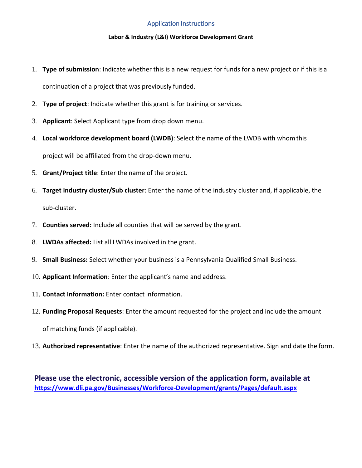#### Application Instructions

#### **Labor & Industry (L&I) Workforce Development Grant**

- 1. **Type of submission**: Indicate whether this is a new request for funds for a new project or if this is a continuation of a project that was previously funded.
- 2. **Type of project**: Indicate whether this grant is for training or services.
- 3. **Applicant**: Select Applicant type from drop down menu.
- 4. **Local workforce development board (LWDB)**: Select the name of the LWDB with whomthis project will be affiliated from the drop-down menu.
- 5. **Grant/Project title**: Enter the name of the project.
- 6. **Target industry cluster/Sub cluster**: Enter the name of the industry cluster and, if applicable, the sub-cluster.
- 7. **Counties served:** Include all counties that will be served by the grant.
- 8. **LWDAs affected:** List all LWDAs involved in the grant.
- 9. **Small Business:** Select whether your business is a Pennsylvania Qualified Small Business.
- 10. **Applicant Information**: Enter the applicant's name and address.
- 11. **Contact Information:** Enter contact information.
- 12. **Funding Proposal Requests**: Enter the amount requested for the project and include the amount of matching funds (if applicable).
- 13. **Authorized representative**: Enter the name of the authorized representative. Sign and date the form.

**Please use the electronic, accessible version of the application form, available at <https://www.dli.pa.gov/Businesses/Workforce-Development/grants/Pages/default.aspx>**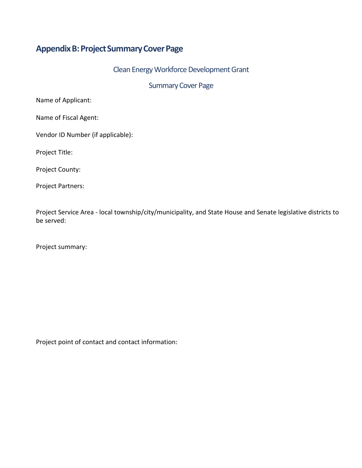# **AppendixB:ProjectSummaryCoverPage**

Clean Energy Workforce Development Grant

Summary Cover Page

Name of Applicant:

Name of Fiscal Agent:

Vendor ID Number (if applicable):

Project Title:

Project County:

Project Partners:

Project Service Area - local township/city/municipality, and State House and Senate legislative districts to be served:

Project summary:

Project point of contact and contact information: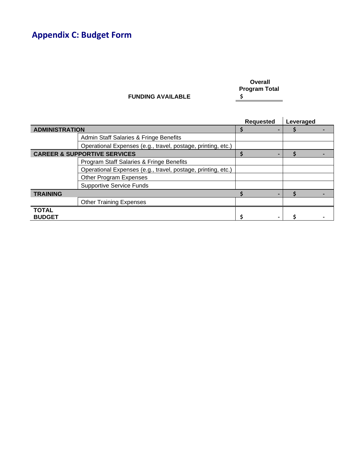# **Appendix C: Budget Form**

**Overall**  Program Total<br>
<u>\$</u>

|                                         |                                                              | <b>Requested</b> | Leveraged |
|-----------------------------------------|--------------------------------------------------------------|------------------|-----------|
| <b>ADMINISTRATION</b>                   |                                                              |                  |           |
|                                         | Admin Staff Salaries & Fringe Benefits                       |                  |           |
|                                         | Operational Expenses (e.g., travel, postage, printing, etc.) |                  |           |
| <b>CAREER &amp; SUPPORTIVE SERVICES</b> |                                                              |                  |           |
|                                         | Program Staff Salaries & Fringe Benefits                     |                  |           |
|                                         | Operational Expenses (e.g., travel, postage, printing, etc.) |                  |           |
|                                         | Other Program Expenses                                       |                  |           |
|                                         | <b>Supportive Service Funds</b>                              |                  |           |
| <b>TRAINING</b>                         |                                                              |                  |           |
|                                         | <b>Other Training Expenses</b>                               |                  |           |
| <b>TOTAL</b><br><b>BUDGET</b>           |                                                              |                  |           |

**FUNDING AVAILABLE \$**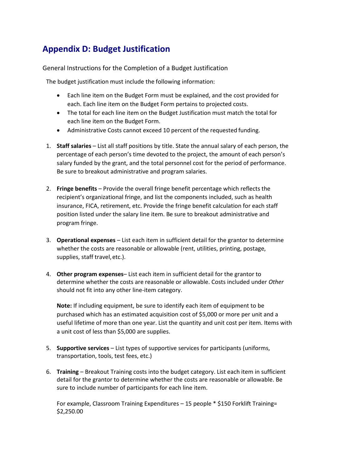# **Appendix D: Budget Justification**

General Instructions for the Completion of a Budget Justification

The budget justification must include the following information:

- Each line item on the Budget Form must be explained, and the cost provided for each. Each line item on the Budget Form pertains to projected costs.
- The total for each line item on the Budget Justification must match the total for each line item on the Budget Form.
- Administrative Costs cannot exceed 10 percent of the requested funding.
- 1. **Staff salaries**  List all staff positions by title. State the annual salary of each person, the percentage of each person's time devoted to the project, the amount of each person's salary funded by the grant, and the total personnel cost for the period of performance. Be sure to breakout administrative and program salaries.
- 2. **Fringe benefits**  Provide the overall fringe benefit percentage which reflects the recipient's organizational fringe, and list the components included, such as health insurance, FICA, retirement, etc. Provide the fringe benefit calculation for each staff position listed under the salary line item. Be sure to breakout administrative and program fringe.
- 3. **Operational expenses**  List each item in sufficient detail for the grantor to determine whether the costs are reasonable or allowable (rent, utilities, printing, postage, supplies, staff travel,etc.).
- 4. **Other program expenses** List each item in sufficient detail for the grantor to determine whether the costs are reasonable or allowable. Costs included under *Other*  should not fit into any other line-item category.

**Note:** If including equipment, be sure to identify each item of equipment to be purchased which has an estimated acquisition cost of \$5,000 or more per unit and a useful lifetime of more than one year. List the quantity and unit cost per item. Items with a unit cost of less than \$5,000 are supplies.

- 5. **Supportive services**  List types of supportive services for participants (uniforms, transportation, tools, test fees, etc.)
- 6. **Training**  Breakout Training costs into the budget category. List each item in sufficient detail for the grantor to determine whether the costs are reasonable or allowable. Be sure to include number of participants for each line item.

For example, Classroom Training Expenditures – 15 people \* \$150 Forklift Training= \$2,250.00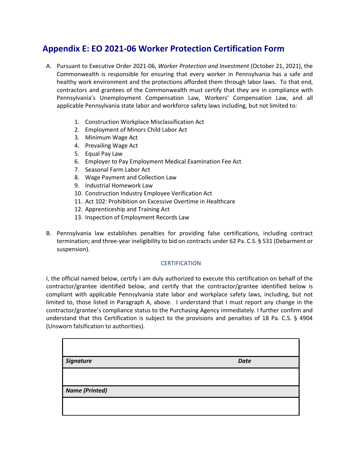# **Appendix E: EO 2021-06 Worker Protection Certification Form**

- A. Pursuant to Executive Order 2021-06, *Worker Protection and Investment* (October 21, 2021), the Commonwealth is responsible for ensuring that every worker in Pennsylvania has a safe and healthy work environment and the protections afforded them through labor laws. To that end, contractors and grantees of the Commonwealth must certify that they are in compliance with Pennsylvania's Unemployment Compensation Law, Workers' Compensation Law, and all applicable Pennsylvania state labor and workforce safety laws including, but not limited to:
	- 1. Construction Workplace Misclassification Act
	- 2. Employment of Minors Child Labor Act
	- 3. Minimum Wage Act
	- 4. Prevailing Wage Act
	- 5. Equal Pay Law
	- 6. Employer to Pay Employment Medical Examination Fee Act
	- 7. Seasonal Farm Labor Act
	- 8. Wage Payment and Collection Law
	- 9. Industrial Homework Law
	- 10. Construction Industry Employee Verification Act
	- 11. Act 102: Prohibition on Excessive Overtime in Healthcare
	- 12. Apprenticeship and Training Act
	- 13. Inspection of Employment Records Law
- B. Pennsylvania law establishes penalties for providing false certifications, including contract termination; and three-year ineligibility to bid on contracts under 62 Pa. C.S. § 531 (Debarment or suspension).

#### **CERTIFICATION**

I, the official named below, certify I am duly authorized to execute this certification on behalf of the contractor/grantee identified below, and certify that the contractor/grantee identified below is compliant with applicable Pennsylvania state labor and workplace safety laws, including, but not limited to, those listed in Paragraph A, above. I understand that I must report any change in the contractor/grantee's compliance status to the Purchasing Agency immediately. I further confirm and understand that this Certification is subject to the provisions and penalties of 18 Pa. C.S. § 4904 (Unsworn falsification to authorities).

| Signature             | <b>Date</b> |
|-----------------------|-------------|
|                       |             |
| <b>Name (Printed)</b> |             |
|                       |             |